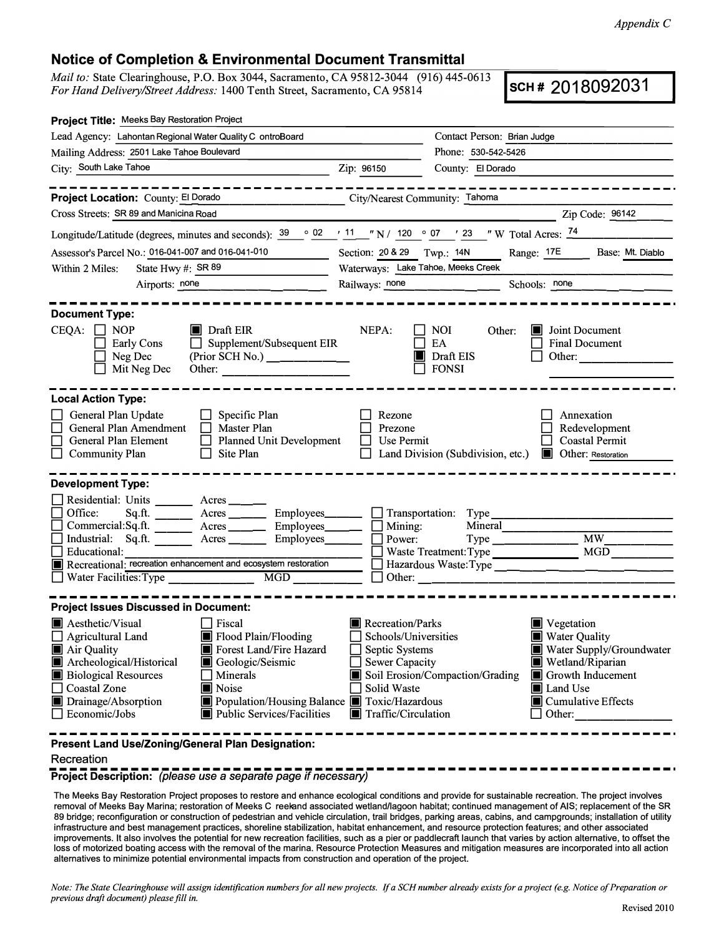## **Notice of Completion & Environmental Document Transmittal**

*Mail to:* State Clearinghouse, P.O. Box 3044, Sacramento, CA 95812-3044 (916) 445-0613 *For Hand Delivery/Street Address:* 1400 Tenth Street, Sacramento, CA 95814 (910) 445-0613 **SCH # 2018092031 SCH # 2018092031** 

| Project Title: Meeks Bay Restoration Project                                                                                                                                                                                                                                                                                                                  |                                                                                                                                                                                        |                                                               |                                                                                                                                                                                    |  |  |
|---------------------------------------------------------------------------------------------------------------------------------------------------------------------------------------------------------------------------------------------------------------------------------------------------------------------------------------------------------------|----------------------------------------------------------------------------------------------------------------------------------------------------------------------------------------|---------------------------------------------------------------|------------------------------------------------------------------------------------------------------------------------------------------------------------------------------------|--|--|
| Lead Agency: Lahontan Regional Water Quality C ontroBoard                                                                                                                                                                                                                                                                                                     |                                                                                                                                                                                        | Contact Person: Brian Judge                                   |                                                                                                                                                                                    |  |  |
| Mailing Address: 2501 Lake Tahoe Boulevard                                                                                                                                                                                                                                                                                                                    |                                                                                                                                                                                        | Phone: 530-542-5426                                           |                                                                                                                                                                                    |  |  |
| City: South Lake Tahoe<br><u> 1980 - Johann Barn, fransk politik fotograf (d. 1980)</u>                                                                                                                                                                                                                                                                       | Zip: 96150                                                                                                                                                                             | County: El Dorado                                             |                                                                                                                                                                                    |  |  |
| - - - - - - - -                                                                                                                                                                                                                                                                                                                                               |                                                                                                                                                                                        |                                                               | ----------------                                                                                                                                                                   |  |  |
| Project Location: County: El Dorado                                                                                                                                                                                                                                                                                                                           | City/Nearest Community: Tahoma                                                                                                                                                         |                                                               |                                                                                                                                                                                    |  |  |
| Cross Streets: SR 89 and Manicina Road                                                                                                                                                                                                                                                                                                                        |                                                                                                                                                                                        |                                                               | Zip Code: 96142                                                                                                                                                                    |  |  |
| Longitude/Latitude (degrees, minutes and seconds): $\frac{39}{9}$ $\frac{02}{11}$ "N / 120 $\degree$ 07 ' 23 " W Total Acres: $\frac{74}{11}$                                                                                                                                                                                                                 |                                                                                                                                                                                        |                                                               |                                                                                                                                                                                    |  |  |
| Assessor's Parcel No.: 016-041-007 and 016-041-010                                                                                                                                                                                                                                                                                                            | Section: 20 & 29 Twp.: 14N                                                                                                                                                             |                                                               | Range: 17E Base: Mt. Diablo                                                                                                                                                        |  |  |
| State Hwy #: SR 89<br>Within 2 Miles:                                                                                                                                                                                                                                                                                                                         |                                                                                                                                                                                        | Waterways: Lake Tahoe, Meeks Creek                            |                                                                                                                                                                                    |  |  |
| Airports: none<br><u> 1980 - Jan James James III, martx</u>                                                                                                                                                                                                                                                                                                   | Railways: none                                                                                                                                                                         |                                                               | Schools: none                                                                                                                                                                      |  |  |
| <b>Document Type:</b><br>$CEQA: \Box NOP$<br>$\blacksquare$ Draft EIR<br>$\Box$ Supplement/Subsequent EIR<br><b>Early Cons</b><br>(Prior SCH No.)<br>Neg Dec<br>Mit Neg Dec<br>Other:                                                                                                                                                                         | NEPA:                                                                                                                                                                                  | <b>NOI</b><br>Other:<br>ШL<br>EA<br>Draft EIS<br><b>FONSI</b> | Joint Document<br><b>Final Document</b><br>Other:                                                                                                                                  |  |  |
| <b>Local Action Type:</b><br>General Plan Update<br>$\Box$ Specific Plan<br>General Plan Amendment<br>Master Plan<br>$\Box$<br>General Plan Element<br>Planned Unit Development<br><b>Community Plan</b><br>$\Box$<br>Site Plan                                                                                                                               | Rezone<br>Prezone<br>Use Permit                                                                                                                                                        | Land Division (Subdivision, etc.) <b>I</b> Other: Restoration | Annexation<br>Redevelopment<br><b>Coastal Permit</b>                                                                                                                               |  |  |
| <b>Development Type:</b>                                                                                                                                                                                                                                                                                                                                      |                                                                                                                                                                                        |                                                               |                                                                                                                                                                                    |  |  |
| Residential: Units ________ Acres _____<br>Office:<br>Commercial:Sq.ft. ________ Acres ______<br>Industrial: Sq.ft. ______ Acres _____<br>Educational:<br>Recreational: recreation enhancement and ecosystem restoration                                                                                                                                      | Employees<br><u>Community</u> Transportation: Type<br>Mining:<br>$Employes$ <sub>______</sub><br>Employees_____<br>Power:                                                              | Mineral<br>Waste Treatment: Type                              | MW                                                                                                                                                                                 |  |  |
| <b>Project Issues Discussed in Document:</b>                                                                                                                                                                                                                                                                                                                  |                                                                                                                                                                                        |                                                               |                                                                                                                                                                                    |  |  |
| $\blacksquare$ Aesthetic/Visual<br>$\Box$ Fiscal<br>$\Box$ Agricultural Land<br>Flood Plain/Flooding<br>Air Quality<br>Forest Land/Fire Hazard<br>Archeological/Historical<br>Geologic/Seismic<br><b>Biological Resources</b><br>Minerals<br>Noise<br><b>Coastal Zone</b><br>Drainage/Absorption<br>$\Box$ Economic/Jobs<br><b>Public Services/Facilities</b> | Recreation/Parks<br>Schools/Universities<br>Septic Systems<br><b>Sewer Capacity</b><br>Solid Waste<br>Population/Housing Balance Toxic/Hazardous<br>$\blacksquare$ Traffic/Circulation | Soil Erosion/Compaction/Grading                               | Vegetation<br><b>Water Quality</b><br>Water Supply/Groundwater<br>Wetland/Riparian<br>Growth Inducement<br><b>I</b> Land Use<br>$\blacksquare$ Cumulative Effects<br>$\Box$ Other: |  |  |
| Present Land Use/Zoning/General Plan Designation:<br>Recreation                                                                                                                                                                                                                                                                                               |                                                                                                                                                                                        |                                                               |                                                                                                                                                                                    |  |  |

**Project Description:** *(please use* a *separate page if necessary)* 

The Meeks Bay Restoration Project proposes to restore and enhance ecological conditions and provide for sustainable recreation. The project involves removal of Meeks Bay Marina; restoration of Meeks C reekand associated wetland/lagoon habitat; continued management of AIS; replacement of the SR 89 bridge; reconfiguration or construction of pedestrian and vehicle circulation, trail bridges, parking areas, cabins, and campgrounds; installation of utility infrastructure and best management practices, shoreline stabilization, habitat enhancement, and resource protection features; and other associated improvements. It also involves the potential for new recreation facilities, such as a pier or paddlecraft launch that varies by action alternative, to offset the loss of motorized boating access with the removal of the marina. Resource Protection Measures and mitigation measures are incorporated into all action alternatives to minimize potential environmental impacts from construction and operation of the project.

*Note: The State Clearinghouse will assign identification numbers for all new projects. If a SCH number already exists for a project (e.g. Notice of Preparation or previous draft document) please fill in.*